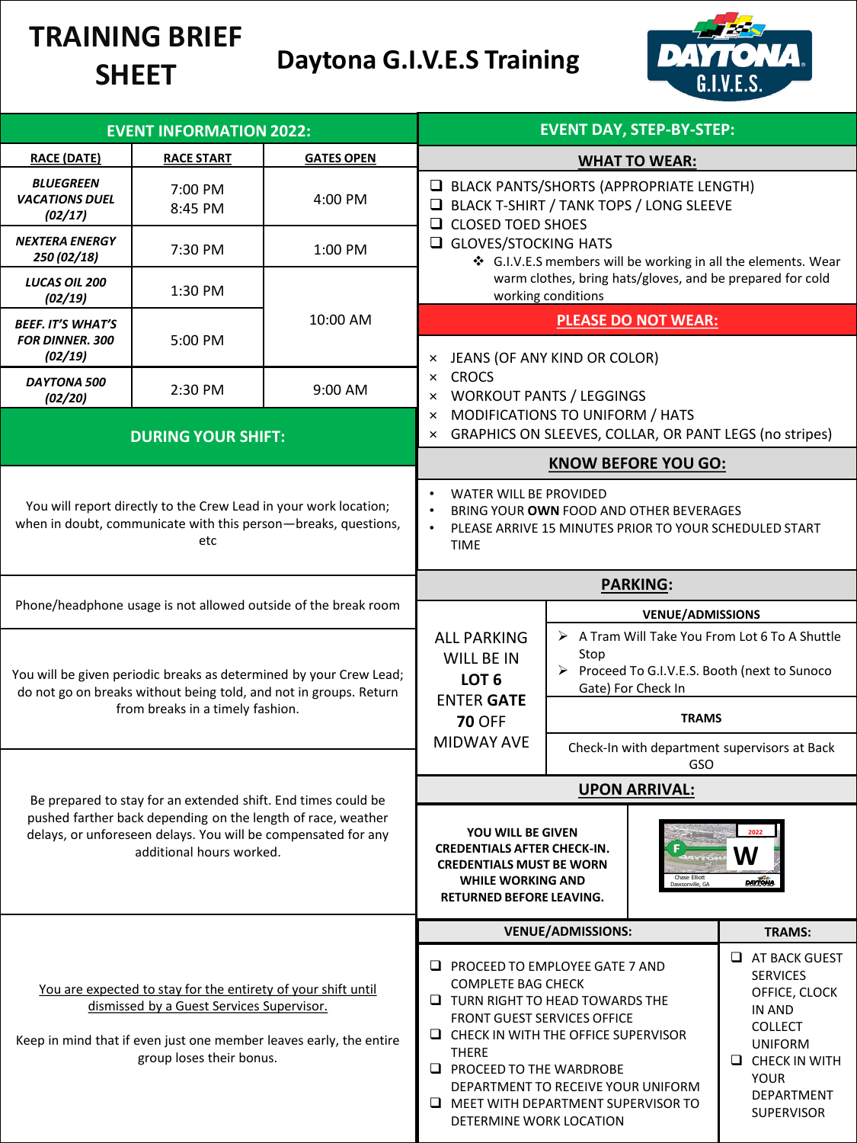# **TRAINING BRIEF SHEET**

# **Daytona G.I.V.E.S Training**



| <b>EVENT INFORMATION 2022:</b>                                                                                                                                                                                                               |                                                                                                                                                           |                                                                    | <b>EVENT DAY, STEP-BY-STEP:</b>                                                                                                                                                                                                                                                                                                                                 |                                                     |                                                                                                                                                                    |
|----------------------------------------------------------------------------------------------------------------------------------------------------------------------------------------------------------------------------------------------|-----------------------------------------------------------------------------------------------------------------------------------------------------------|--------------------------------------------------------------------|-----------------------------------------------------------------------------------------------------------------------------------------------------------------------------------------------------------------------------------------------------------------------------------------------------------------------------------------------------------------|-----------------------------------------------------|--------------------------------------------------------------------------------------------------------------------------------------------------------------------|
| <b>RACE (DATE)</b>                                                                                                                                                                                                                           | <b>RACE START</b>                                                                                                                                         | <b>GATES OPEN</b>                                                  | <b>WHAT TO WEAR:</b>                                                                                                                                                                                                                                                                                                                                            |                                                     |                                                                                                                                                                    |
| <b>BLUEGREEN</b><br><b>VACATIONS DUEL</b><br>(02/17)                                                                                                                                                                                         | 7:00 PM<br>8:45 PM                                                                                                                                        | 4:00 PM                                                            | BLACK PANTS/SHORTS (APPROPRIATE LENGTH)<br>BLACK T-SHIRT / TANK TOPS / LONG SLEEVE<br><b>Q</b> CLOSED TOED SHOES<br>GLOVES/STOCKING HATS<br>G.I.V.E.S members will be working in all the elements. Wear<br>warm clothes, bring hats/gloves, and be prepared for cold<br>working conditions                                                                      |                                                     |                                                                                                                                                                    |
| <b>NEXTERA ENERGY</b><br>250 (02/18)                                                                                                                                                                                                         | 7:30 PM                                                                                                                                                   | $1:00$ PM                                                          |                                                                                                                                                                                                                                                                                                                                                                 |                                                     |                                                                                                                                                                    |
| LUCAS OIL 200<br>(02/19)                                                                                                                                                                                                                     | 1:30 PM                                                                                                                                                   |                                                                    |                                                                                                                                                                                                                                                                                                                                                                 |                                                     |                                                                                                                                                                    |
| <b>BEEF. IT'S WHAT'S</b><br><b>FOR DINNER. 300</b><br>(02/19)                                                                                                                                                                                | 5:00 PM                                                                                                                                                   | 10:00 AM                                                           | <b>PLEASE DO NOT WEAR:</b><br>JEANS (OF ANY KIND OR COLOR)<br>×                                                                                                                                                                                                                                                                                                 |                                                     |                                                                                                                                                                    |
| DAYTONA 500<br>(02/20)                                                                                                                                                                                                                       | 2:30 PM                                                                                                                                                   | $9:00$ AM                                                          | <b>CROCS</b><br>×<br><b>WORKOUT PANTS / LEGGINGS</b><br>$\times$                                                                                                                                                                                                                                                                                                |                                                     |                                                                                                                                                                    |
|                                                                                                                                                                                                                                              | <b>DURING YOUR SHIFT:</b>                                                                                                                                 |                                                                    | MODIFICATIONS TO UNIFORM / HATS<br>×<br>GRAPHICS ON SLEEVES, COLLAR, OR PANT LEGS (no stripes)<br>×                                                                                                                                                                                                                                                             |                                                     |                                                                                                                                                                    |
| You will report directly to the Crew Lead in your work location;<br>when in doubt, communicate with this person-breaks, questions,<br>etc                                                                                                    |                                                                                                                                                           |                                                                    | <b>KNOW BEFORE YOU GO:</b>                                                                                                                                                                                                                                                                                                                                      |                                                     |                                                                                                                                                                    |
|                                                                                                                                                                                                                                              |                                                                                                                                                           |                                                                    | WATER WILL BE PROVIDED<br>BRING YOUR OWN FOOD AND OTHER BEVERAGES<br>$\bullet$<br>PLEASE ARRIVE 15 MINUTES PRIOR TO YOUR SCHEDULED START<br><b>TIME</b>                                                                                                                                                                                                         |                                                     |                                                                                                                                                                    |
| Phone/headphone usage is not allowed outside of the break room                                                                                                                                                                               |                                                                                                                                                           |                                                                    | <b>PARKING:</b>                                                                                                                                                                                                                                                                                                                                                 |                                                     |                                                                                                                                                                    |
|                                                                                                                                                                                                                                              |                                                                                                                                                           |                                                                    |                                                                                                                                                                                                                                                                                                                                                                 | <b>VENUE/ADMISSIONS</b>                             |                                                                                                                                                                    |
| You will be given periodic breaks as determined by your Crew Lead;<br>do not go on breaks without being told, and not in groups. Return<br>from breaks in a timely fashion.<br>Be prepared to stay for an extended shift. End times could be |                                                                                                                                                           |                                                                    | > A Tram Will Take You From Lot 6 To A Shuttle<br><b>ALL PARKING</b><br>Stop<br>WILL BE IN<br>▶ Proceed To G.I.V.E.S. Booth (next to Sunoco<br>LOT <sub>6</sub><br>Gate) For Check In<br><b>ENTER GATE</b>                                                                                                                                                      |                                                     |                                                                                                                                                                    |
|                                                                                                                                                                                                                                              |                                                                                                                                                           |                                                                    | <b>70 OFF</b>                                                                                                                                                                                                                                                                                                                                                   | <b>TRAMS</b>                                        |                                                                                                                                                                    |
|                                                                                                                                                                                                                                              |                                                                                                                                                           |                                                                    | <b>MIDWAY AVE</b>                                                                                                                                                                                                                                                                                                                                               | Check-In with department supervisors at Back<br>GSO |                                                                                                                                                                    |
|                                                                                                                                                                                                                                              |                                                                                                                                                           |                                                                    | <b>UPON ARRIVAL:</b>                                                                                                                                                                                                                                                                                                                                            |                                                     |                                                                                                                                                                    |
|                                                                                                                                                                                                                                              | pushed farther back depending on the length of race, weather<br>delays, or unforeseen delays. You will be compensated for any<br>additional hours worked. |                                                                    | YOU WILL BE GIVEN<br><b>CREDENTIALS AFTER CHECK-IN.</b><br>W<br><b>CREDENTIALS MUST BE WORN</b><br>Chase Elliott<br><b>WHILE WORKING AND</b><br><b>DAYTONA</b><br>awsonville, GA<br>RETURNED BEFORE LEAVING.                                                                                                                                                    |                                                     |                                                                                                                                                                    |
|                                                                                                                                                                                                                                              |                                                                                                                                                           |                                                                    |                                                                                                                                                                                                                                                                                                                                                                 | <b>VENUE/ADMISSIONS:</b>                            | <b>TRAMS:</b>                                                                                                                                                      |
|                                                                                                                                                                                                                                              | You are expected to stay for the entirety of your shift until<br>dismissed by a Guest Services Supervisor.<br>group loses their bonus.                    | Keep in mind that if even just one member leaves early, the entire | $\Box$ PROCEED TO EMPLOYEE GATE 7 AND<br><b>COMPLETE BAG CHECK</b><br>$\Box$ TURN RIGHT TO HEAD TOWARDS THE<br><b>FRONT GUEST SERVICES OFFICE</b><br>$\Box$ CHECK IN WITH THE OFFICE SUPERVISOR<br><b>THERE</b><br>$\Box$ PROCEED TO THE WARDROBE<br>DEPARTMENT TO RECEIVE YOUR UNIFORM<br>$\Box$ MEET WITH DEPARTMENT SUPERVISOR TO<br>DETERMINE WORK LOCATION |                                                     | AT BACK GUEST<br><b>SERVICES</b><br>OFFICE, CLOCK<br>IN AND<br><b>COLLECT</b><br><b>UNIFORM</b><br>$\Box$ CHECK IN WITH<br>YOUR<br>DEPARTMENT<br><b>SUPERVISOR</b> |